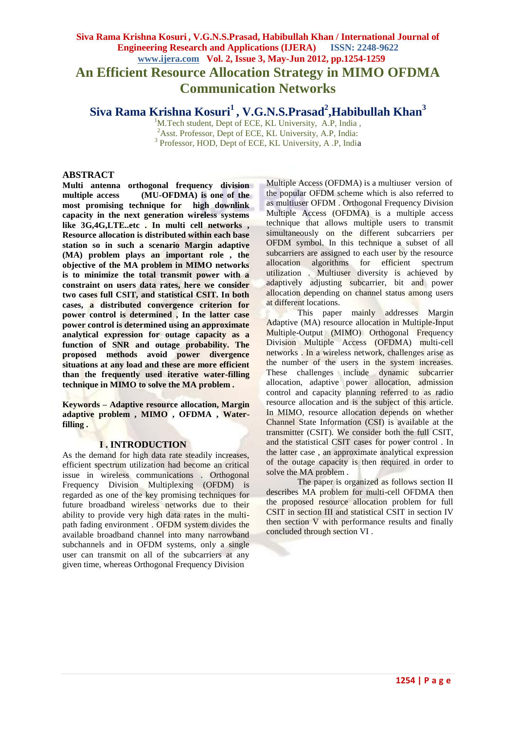# **Siva Rama Krishna Kosuri , V.G.N.S.Prasad, Habibullah Khan / International Journal of Engineering Research and Applications (IJERA) ISSN: 2248-9622 www.ijera.com Vol. 2, Issue 3, May-Jun 2012, pp.1254-1259 An Efficient Resource Allocation Strategy in MIMO OFDMA Communication Networks**

**Siva Rama Krishna Kosuri<sup>1</sup> , V.G.N.S.Prasad<sup>2</sup> ,Habibullah Khan<sup>3</sup>**

<sup>1</sup>M.Tech student, Dept of ECE, KL University, A.P, India, <sup>2</sup>Asst. Professor, Dept of ECE, KL University, A.P. India: <sup>3</sup> Professor, HOD, Dept of ECE, KL University, A .P, India

# **ABSTRACT**

**Multi antenna orthogonal frequency division multiple access (MU-OFDMA) is one of the most promising technique for high downlink capacity in the next generation wireless systems like 3G,4G,LTE..etc . In multi cell networks , Resource allocation is distributed within each base station so in such a scenario Margin adaptive (MA) problem plays an important role , the objective of the MA problem in MIMO networks is to minimize the total transmit power with a constraint on users data rates, here we consider two cases full CSIT, and statistical CSIT. In both cases, a distributed convergence criterion for power control is determined , In the latter case power control is determined using an approximate analytical expression for outage capacity as a function of SNR and outage probability. The proposed methods avoid power divergence situations at any load and these are more efficient than the frequently used iterative water-filling technique in MIMO to solve the MA problem .**

**Keywords – Adaptive resource allocation, Margin adaptive problem , MIMO , OFDMA , Waterfilling .**

#### **I . INTRODUCTION**

As the demand for high data rate steadily increases. efficient spectrum utilization had become an critical issue in wireless communications . Orthogonal Frequency Division Multiplexing (OFDM) is regarded as one of the key promising techniques for future broadband wireless networks due to their ability to provide very high data rates in the multipath fading environment . OFDM system divides the available broadband channel into many narrowband subchannels and in OFDM systems, only a single user can transmit on all of the subcarriers at any given time, whereas Orthogonal Frequency Division

Multiple Access (OFDMA) is a multiuser version of the popular OFDM scheme which is also referred to as multiuser OFDM . Orthogonal Frequency Division Multiple Access (OFDMA) is a multiple access technique that allows multiple users to transmit simultaneously on the different subcarriers per OFDM symbol. In this technique a subset of all subcarriers are assigned to each user by the resource allocation algorithms for efficient spectrum utilization . Multiuser diversity is achieved by adaptively adjusting subcarrier, bit and power allocation depending on channel status among users at different locations.

This paper mainly addresses Margin Adaptive (MA) resource allocation in Multiple-Input Multiple-Output (MIMO) Orthogonal Frequency Division Multiple Access (OFDMA) multi-cell networks . In a wireless network, challenges arise as the number of the users in the system increases. These challenges include dynamic subcarrier allocation, adaptive power allocation, admission control and capacity planning referred to as radio resource allocation and is the subject of this article. In MIMO, resource allocation depends on whether Channel State Information (CSI) is available at the transmitter (CSIT). We consider both the full CSIT, and the statistical CSIT cases for power control . In the latter case , an approximate analytical expression of the outage capacity is then required in order to solve the MA problem .

The paper is organized as follows section II describes MA problem for multi-cell OFDMA then the proposed resource allocation problem for full CSIT in section III and statistical CSIT in section IV then section V with performance results and finally concluded through section VI .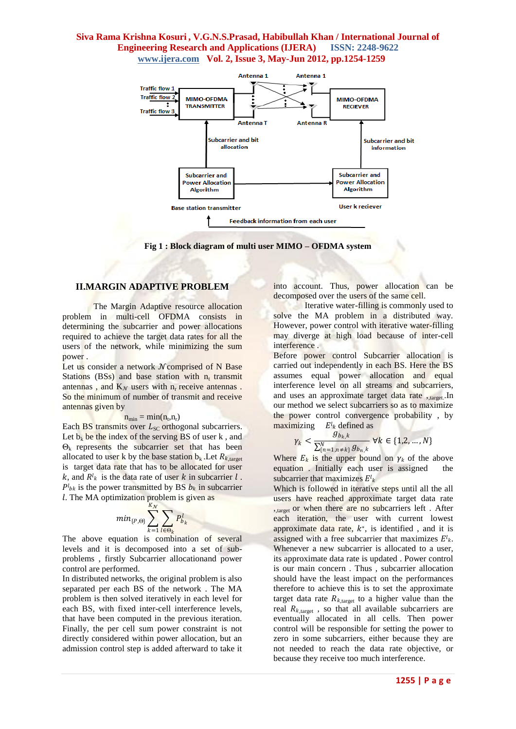

**Fig 1 : Block diagram of multi user MIMO – OFDMA system**

#### **II.MARGIN ADAPTIVE PROBLEM**

The Margin Adaptive resource allocation problem in multi-cell OFDMA consists in determining the subcarrier and power allocations required to achieve the target data rates for all the users of the network, while minimizing the sum power .

Let us consider a network  $N$  comprised of N Base Stations  $(BSS)$  and base station with n<sub>t</sub> transmit antennas, and  $K_N$  users with n<sub>r</sub> receive antennas. So the minimum of number of transmit and receive antennas given by

#### $n_{min} = min(n_t, n_r)$

Each BS transmits over  $L_{SC}$  orthogonal subcarriers. Let  $b_k$  be the index of the serving BS of user k, and  $\Theta_k$  represents the subcarrier set that has been allocated to user k by the base station  $b_k$ . Let  $R_{k,\text{target}}$ is target data rate that has to be allocated for user k, and  $R^{l_k}$  is the data rate of user k in subcarrier l.  $P^{l}_{bk}$  is the power transmitted by BS  $b_k$  in subcarrier . The MA optimization problem is given as

$$
min_{\{P,\Theta\}}\sum_{k=1}^{K_{\mathcal{N}}}\sum_{l\in\Theta_k}P_{b_k}^l
$$

The above equation is combination of several levels and it is decomposed into a set of subproblems , firstly Subcarrier allocationand power control are performed.

In distributed networks, the original problem is also separated per each BS of the network . The MA problem is then solved iteratively in each level for each BS, with fixed inter-cell interference levels, that have been computed in the previous iteration. Finally, the per cell sum power constraint is not directly considered within power allocation, but an admission control step is added afterward to take it into account. Thus, power allocation can be decomposed over the users of the same cell.

Iterative water-filling is commonly used to solve the MA problem in a distributed way. However, power control with iterative water-filling may diverge at high load because of inter-cell interference .

Before power control Subcarrier allocation is carried out independently in each BS. Here the BS assumes equal power allocation and equal interference level on all streams and subcarriers, and uses an approximate target data rate , target. In our method we select subcarriers so as to maximize the power control convergence probability , by maximizing  $E^{l_k}$  defined as

$$
\gamma_k < \frac{g_{b_k,k}}{\sum_{\{n=1,n\neq k\}}^N g_{b_n,k}} \ \forall k \in \{1,2,\dots,N\}
$$

Where  $E_k$  is the upper bound on  $\gamma_k$  of the above equation . Initially each user is assigned the subcarrier that maximizes  $E^{l_k}$ 

Which is followed in iterative steps until all the all users have reached approximate target data rate ,,target or when there are no subcarriers left . After each iteration, the user with current lowest approximate data rate,  $k^*$ , is identified, and it is assigned with a free subcarrier that maximizes  $E^{l_k}$ . Whenever a new subcarrier is allocated to a user, its approximate data rate is updated . Power control is our main concern . Thus , subcarrier allocation should have the least impact on the performances therefore to achieve this is to set the approximate target data rate  $R_{k,\text{target}}$  to a higher value than the real  $R_{k,\text{target}}$ , so that all available subcarriers are eventually allocated in all cells. Then power control will be responsible for setting the power to zero in some subcarriers, either because they are not needed to reach the data rate objective, or because they receive too much interference.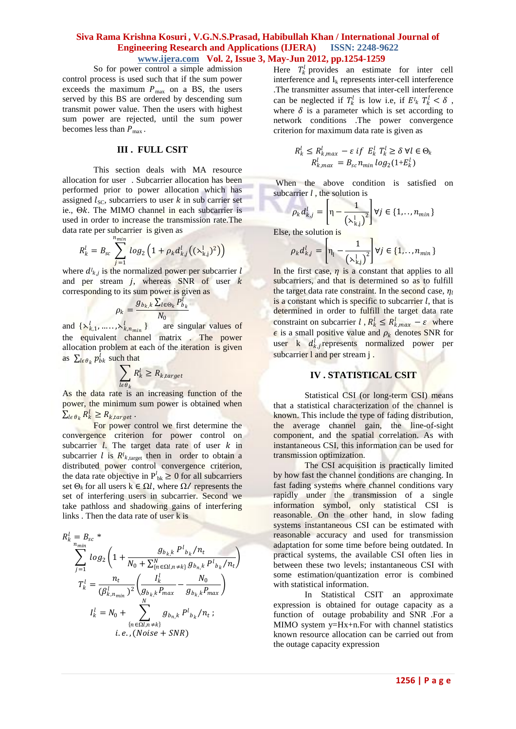So for power control a simple admission control process is used such that if the sum power exceeds the maximum  $P_{\text{max}}$  on a BS, the users served by this BS are ordered by descending sum transmit power value. Then the users with highest sum power are rejected, until the sum power becomes less than  $P_{\text{max}}$ .

# **III . FULL CSIT**

This section deals with MA resource allocation for user . Subcarrier allocation has been performed prior to power allocation which has assigned  $l_{\text{SC}}$ , subcarriers to user  $k$  in sub carrier set ie.,  $\Theta k$ . The MIMO channel in each subcarrier is used in order to increase the transmission rate.The data rate per subcarrier is given as

$$
R_k^l = B_{sc} \sum_{j=1}^{n_{min}} log_2 (1 + \rho_k d_{k,j}^l ((\lambda_{k,j}^l)^2))
$$

where  $d^l_{kj}$  is the normalized power per subcarrier l and per stream  $j$ , whereas SNR of user  $k$ corresponding to its sum power is given as

$$
\rho_k = \frac{g_{b_k,k} \sum_{l \in \Theta_k} P_{b_k}^l}{N_0}
$$

and  $\{\lambda_{k,1}^l, \dots, \lambda_{k,n_{min}}^l\}$  are singular values of the equivalent channel matrix . The power allocation problem at each of the iteration is given as  $\sum_{l \in \theta_k} p_{bk}^l$  such that

$$
\sum_{l \in \theta_k} R_k^l \geq R_{k,target}
$$

As the data rate is an increasing function of the power, the minimum sum power is obtained when  $\sum_{l \in \theta_k} R_k^l \geq R_{k, target}$ .

For power control we first determine the convergence criterion for power control on subcarrier  $\overline{l}$ . The target data rate of user  $k$  in subcarrier *l* is  $R^{l_{k,\text{target}}}$  then in order to obtain a distributed power control convergence criterion, the data rate objective in  $P_{bk}^l \geq 0$  for all subcarriers set  $\Theta_k$  for all users  $k \in \Omega$ *l*, where  $\Omega$ *l* represents the set of interfering users in subcarrier. Second we take pathloss and shadowing gains of interfering links . Then the data rate of user k is

$$
R_{k}^{l} = B_{sc} * \sum_{n_{min}}^{n_{min}} log_{2} \left( 1 + \frac{g_{b_{k},k} P^{l} b_{k}}{N_{0} + \sum_{\{n \in \Omega l, n \neq k\}}^{N} g_{b_{n},k} P^{l} b_{k}} / n_{t} \right)
$$
  

$$
T_{k}^{l} = \frac{n_{t}}{(\beta_{k,n_{min}}^{l})^{2}} \left( \frac{I_{k}^{l}}{g_{b_{k},k} P_{max}} - \frac{N_{0}}{g_{b_{k},k} P_{max}} \right)
$$
  

$$
I_{k}^{l} = N_{0} + \sum_{\{n \in \Omega l, n \neq k\}}^{N} g_{b_{n},k} P^{l} b_{k} / n_{t} ;
$$
  
*i.e.*, (Noise + SNR)

Here  $T_k^l$  provides an estimate for inter cell interference and  $I_k$  represents inter-cell interference .The transmitter assumes that inter-cell interference can be neglected if  $T_k^l$  is low i.e, if  $E^l_k T_k^l < \delta$ , where  $\delta$  is a parameter which is set according to network conditions .The power convergence criterion for maximum data rate is given as

$$
R_k^l \le R_{k,max}^l - \varepsilon \text{ if } E_k^l T_k^l \ge \delta \ \forall l \in \Theta_k
$$
  

$$
R_{k,max}^l = B_{sc} n_{min} \log_2(1 + E_k^l)
$$

When the above condition is satisfied on subcarrier *l* , the solution is

$$
\rho_k d_{kj}^l = \left[\eta - \frac{1}{\left(\lambda_{kj}^l\right)^2}\right] \forall j \in \{1, \dots, n_{min}\}\
$$

Else, the solution is

$$
\rho_k d_{k,j}^l = \left[ \eta_l - \frac{1}{\left(\lambda_{k,j}^l\right)^2} \right] \forall j \in \{1, \dots, n_{min}\}\
$$

In the first case,  $\eta$  is a constant that applies to all subcarriers, and that is determined so as to fulfill the target data rate constraint. In the second case,  $\eta_l$ is a constant which is specific to subcarrier  $l$ , that is determined in order to fulfill the target data rate constraint on subcarrier  $l, R_k^l \leq R_{k,max}^l - \varepsilon$  where  $\epsilon$  is a small positive value and  $\rho_k$  denotes SNR for user k  $d_{k,j}^l$  represents normalized power per subcarrier 1 and per stream j.

# **IV . STATISTICAL CSIT**

Statistical CSI (or long-term CSI) means that a statistical characterization of the channel is known. This include the type of [fading distribution,](http://en.wikipedia.org/wiki/Fading#Fading_models) the average channel gain, the [line-of-sight](http://en.wikipedia.org/wiki/Line-of-sight_propagation)  [component,](http://en.wikipedia.org/wiki/Line-of-sight_propagation) and the [spatial correlation.](http://en.wikipedia.org/wiki/Spatial_Correlation) As with instantaneous CSI, this information can be used for transmission optimization.

The CSI acquisition is practically limited by how fast the channel conditions are changing. In [fast fading systems](http://en.wikipedia.org/wiki/Fading#Slow_versus_fast_fading) where channel conditions vary rapidly under the transmission of a single information symbol, only statistical CSI is reasonable. On the other hand, in [slow fading](http://en.wikipedia.org/wiki/Fading#Slow_versus_fast_fading)  [systems](http://en.wikipedia.org/wiki/Fading#Slow_versus_fast_fading) instantaneous CSI can be estimated with reasonable accuracy and used for transmission adaptation for some time before being outdated. In practical systems, the available CSI often lies in between these two levels; instantaneous CSI with some estimation/quantization error is combined with statistical information.

In Statistical CSIT an approximate expression is obtained for outage capacity as a function of outage probability and SNR .For a MIMO system y=Hx+n.For with channel statistics known resource allocation can be carried out from the outage capacity expression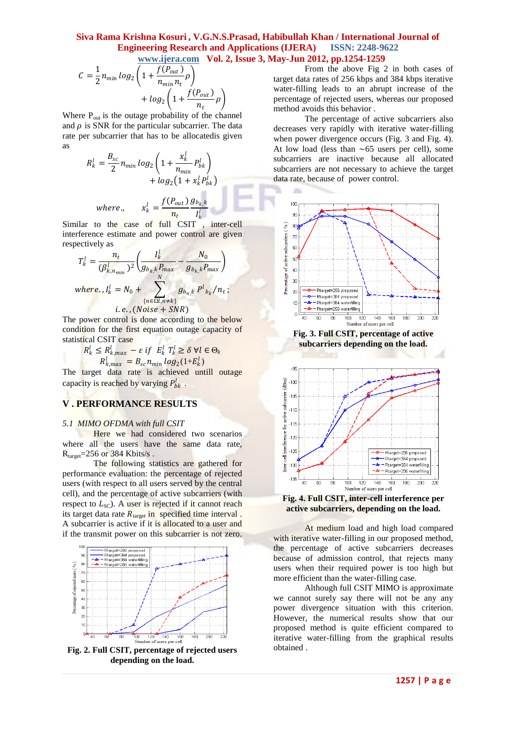$\sim$ 

$$
C = \frac{1}{2} n_{min} \log_2 \left( 1 + \frac{f(P_{out})}{n_{min} n_t} \rho \right)
$$

$$
+ \log_2 \left( 1 + \frac{f(P_{out})}{n_t} \rho \right)
$$

Where  $P_{out}$  is the outage probability of the channel and  $\rho$  is SNR for the particular subcarrier. The data rate per subcarrier that has to be allocatedis given as

$$
R_k^l = \frac{B_{sc}}{2} n_{min} \log_2 \left( 1 + \frac{x_k^l}{n_{min}} P_{bk}^l \right)
$$
  
+  $\log_2 \left( 1 + x_k^l P_{bk}^l \right)$   
where 
$$
x_k^l = \frac{f(P_{out}) g_{bk} k}{n_t} I_k^l
$$

Similar to the case of full CSIT , inter-cell interference estimate and power control are given respectively as

$$
T_k^l = \frac{n_t}{(\beta_{k,n_{min}}^l)^2} \left( \frac{I_k^l}{g_{b_k,k}P_{max}} - \frac{N_0}{g_{b_k,k}P_{max}} \right)
$$
  
where,  $I_k^l = N_0 + \sum_{\{n \in \Omega, n \neq k\}}^N g_{b_n,k} P_{b_k}^l / n_t ;$   
*i.e.*, (*Noise + SNR*)

The power control is done according to the below condition for the first equation outage capacity of statistical CSIT case **COLL** 

$$
R_k^l \leq R_{k,max}^l - \varepsilon \, \text{if} \, E_k^l \, T_k^l \geq \delta \, \forall l \in \Theta_k
$$
  

$$
R_{k,max}^l = B_{sc} n_{min} \, \log_2(1 + E_k^l)
$$

The target data rate is achieved untill outage capacity is reached by varying  $P_{bk}^l$ .

## **V . PERFORMANCE RESULTS**

#### *5.1 MIMO OFDMA with full CSIT*

Here we had considered two scenarios where all the users have the same data rate,  $R_{\text{target}} = 256$  or 384 Kbits/s.

The following statistics are gathered for performance evaluation: the percentage of rejected users (with respect to all users served by the central cell), and the percentage of active subcarriers (with respect to  $L_{SC}$ ). A user is rejected if it cannot reach its target data rate  $R_{\text{target}}$  in specified time interval. A subcarrier is active if it is allocated to a user and if the transmit power on this subcarrier is not zero.



**Fig. 2. Full CSIT, percentage of rejected users depending on the load.**

From the above Fig 2 in both cases of target data rates of 256 kbps and 384 kbps iterative water-filling leads to an abrupt increase of the percentage of rejected users, whereas our proposed method avoids this behavior .

The percentage of active subcarriers also decreases very rapidly with iterative water-filling when power divergence occurs (Fig. 3 and Fig. 4). At low load (less than  $\sim 65$  users per cell), some subcarriers are inactive because all allocated subcarriers are not necessary to achieve the target data rate, because of power control.



**Fig. 3. Full CSIT, percentage of active subcarriers depending on the load.**





At medium load and high load compared with iterative water-filling in our proposed method, the percentage of active subcarriers decreases because of admission control, that rejects many users when their required power is too high but more efficient than the water-filling case.

Although full CSIT MIMO is approximate we cannot surely say there will not be any any power divergence situation with this criterion. However, the numerical results show that our proposed method is quite efficient compared to iterative water-filling from the graphical results obtained .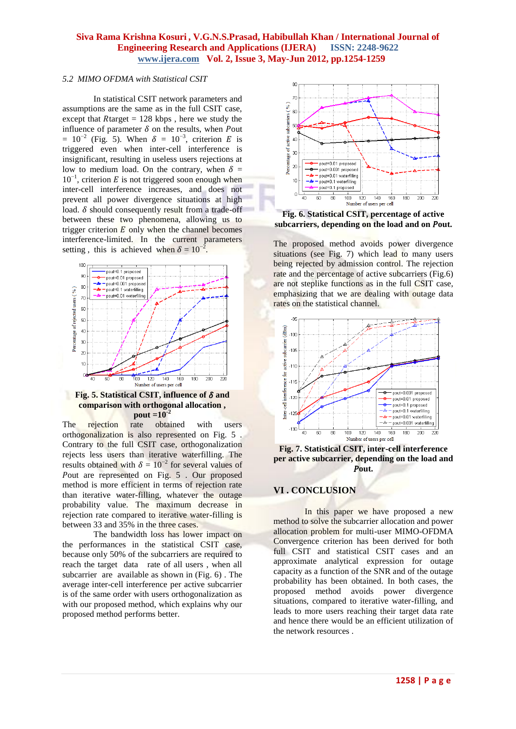# *5.2 MIMO OFDMA with Statistical CSIT*

In statistical CSIT network parameters and assumptions are the same as in the full CSIT case, except that  $R$ target = 128 kbps, here we study the influence of parameter  $\delta$  on the results, when Pout  $= 10^{-2}$  (Fig. 5). When  $\delta = 10^{-3}$ , criterion E is triggered even when inter-cell interference is insignificant, resulting in useless users rejections at low to medium load. On the contrary, when  $\delta =$  $10^{-1}$ , criterion *E* is not triggered soon enough when inter-cell interference increases, and does not prevent all power divergence situations at high load.  $\delta$  should consequently result from a trade-off between these two phenomena, allowing us to trigger criterion  $\overline{E}$  only when the channel becomes interference-limited. In the current parameters setting, this is achieved when  $\delta = 10^{-2}$ .



**Fig. 5. Statistical CSIT, influence of**  $\delta$  **and comparison with orthogonal allocation , pout =10-2**

The rejection rate obtained with users orthogonalization is also represented on Fig. 5 . Contrary to the full CSIT case, orthogonalization rejects less users than iterative waterfilling. The results obtained with  $\delta = 10^{-2}$  for several values of Pout are represented on Fig. 5 . Our proposed method is more efficient in terms of rejection rate than iterative water-filling, whatever the outage probability value. The maximum decrease in rejection rate compared to iterative water-filling is between 33 and 35% in the three cases.

The bandwidth loss has lower impact on the performances in the statistical CSIT case, because only 50% of the subcarriers are required to reach the target data rate of all users , when all subcarrier are available as shown in (Fig. 6) . The average inter-cell interference per active subcarrier is of the same order with users orthogonalization as with our proposed method, which explains why our proposed method performs better.



**Fig. 6. Statistical CSIT, percentage of active**  subcarriers, depending on the load and on Pout.

The proposed method avoids power divergence situations (see Fig. 7) which lead to many users being rejected by admission control. The rejection rate and the percentage of active subcarriers (Fig.6) are not steplike functions as in the full CSIT case, emphasizing that we are dealing with outage data rates on the statistical channel.



**Fig. 7. Statistical CSIT, inter-cell interference per active subcarrier, depending on the load and**  Pout.

# **VI . CONCLUSION**

In this paper we have proposed a new method to solve the subcarrier allocation and power allocation problem for multi-user MIMO-OFDMA Convergence criterion has been derived for both full CSIT and statistical CSIT cases and an approximate analytical expression for outage capacity as a function of the SNR and of the outage probability has been obtained. In both cases, the proposed method avoids power divergence situations, compared to iterative water-filling, and leads to more users reaching their target data rate and hence there would be an efficient utilization of the network resources .